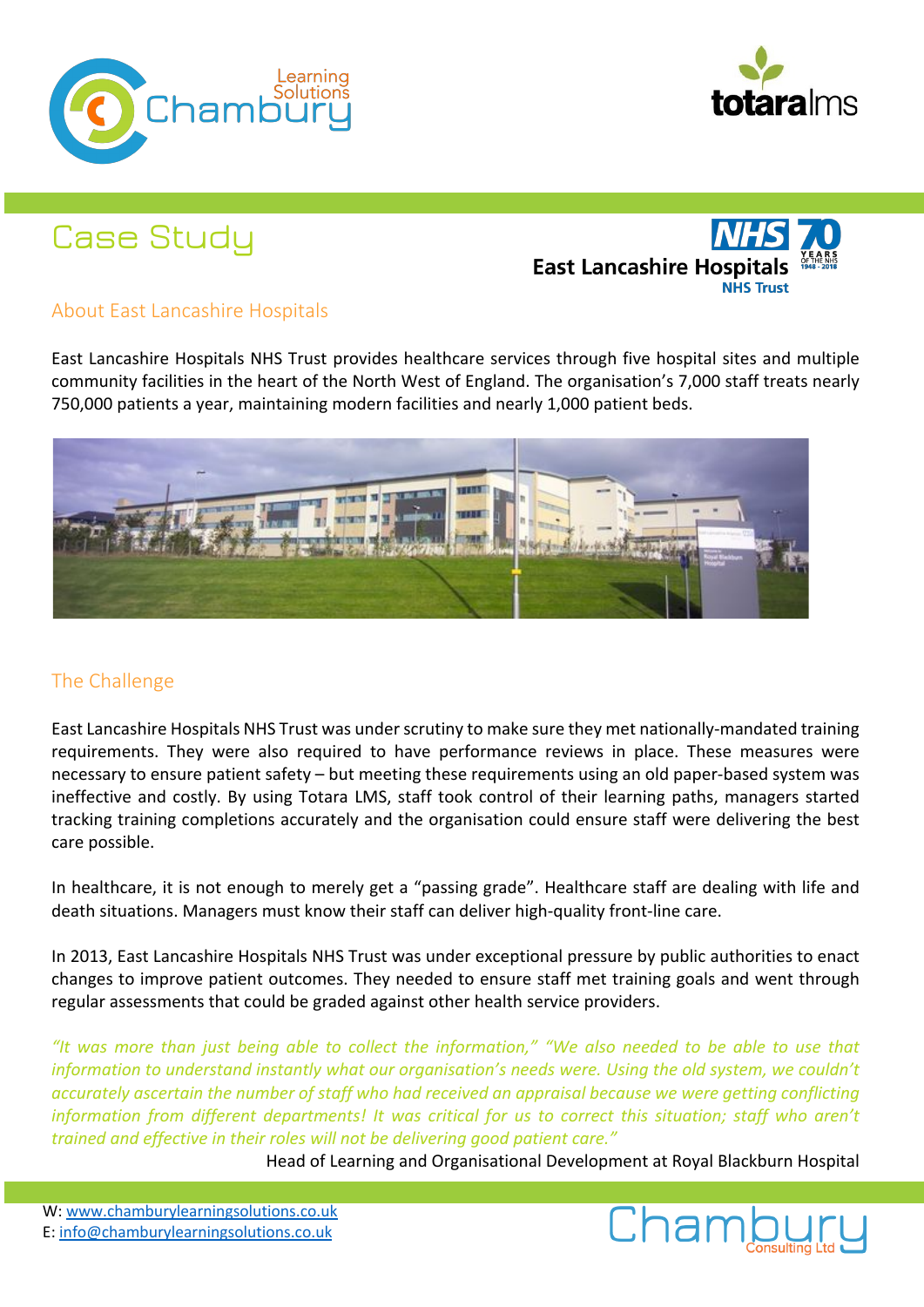



# Case Study

**East Lancashire Hospi** 

# About East Lancashire Hospitals

East Lancashire Hospitals NHS Trust provides healthcare services through five hospital sites and multiple community facilities in the heart of the North West of England. The organisation's 7,000 staff treats nearly 750,000 patients a year, maintaining modern facilities and nearly 1,000 patient beds.



## The Challenge

East Lancashire Hospitals NHS Trust was under scrutiny to make sure they met nationally-mandated training requirements. They were also required to have performance reviews in place. These measures were necessary to ensure patient safety – but meeting these requirements using an old paper-based system was ineffective and costly. By using Totara LMS, staff took control of their learning paths, managers started tracking training completions accurately and the organisation could ensure staff were delivering the best care possible.

In healthcare, it is not enough to merely get a "passing grade". Healthcare staff are dealing with life and death situations. Managers must know their staff can deliver high-quality front-line care.

In 2013, East Lancashire Hospitals NHS Trust was under exceptional pressure by public authorities to enact changes to improve patient outcomes. They needed to ensure staff met training goals and went through regular assessments that could be graded against other health service providers.

*"It was more than just being able to collect the information," "We also needed to be able to use that information to understand instantly what our organisation's needs were. Using the old system, we couldn't accurately ascertain the number of staff who had received an appraisal because we were getting conflicting information from different departments! It was critical for us to correct this situation; staff who aren't trained and effective in their roles will not be delivering good patient care."*

Head of Learning and Organisational Development at Royal Blackburn Hospital

W: www.chamburylearningsolutions.co.uk E: info@chamburylearningsolutions.co.uk

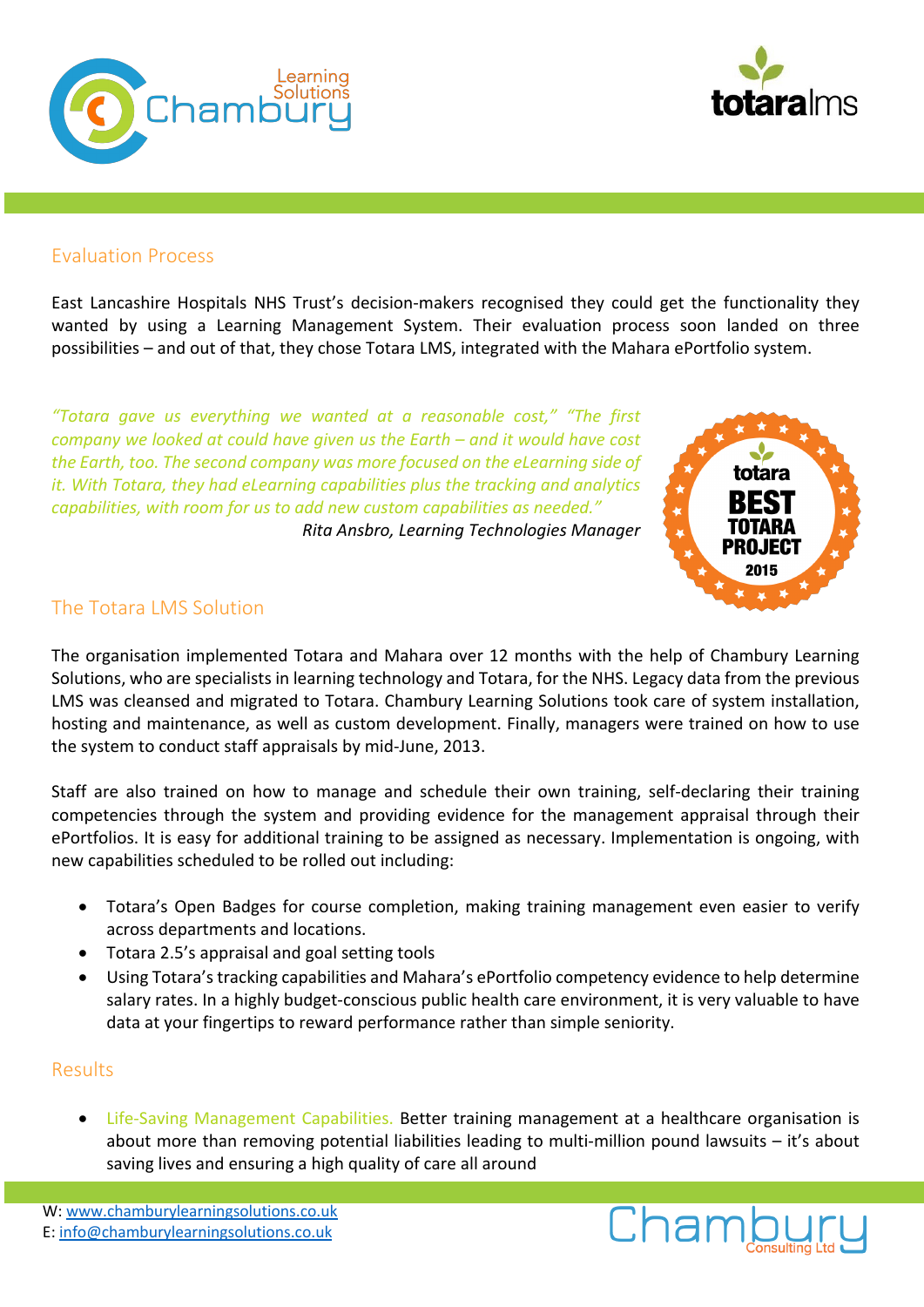



#### Evaluation Process

East Lancashire Hospitals NHS Trust's decision-makers recognised they could get the functionality they wanted by using a Learning Management System. Their evaluation process soon landed on three possibilities – and out of that, they chose Totara LMS, integrated with the Mahara ePortfolio system.

*"Totara gave us everything we wanted at a reasonable cost," "The first company we looked at could have given us the Earth – and it would have cost the Earth, too. The second company was more focused on the eLearning side of it. With Totara, they had eLearning capabilities plus the tracking and analytics capabilities, with room for us to add new custom capabilities as needed."*

*Rita Ansbro, Learning Technologies Manager*



## The Totara LMS Solution

The organisation implemented Totara and Mahara over 12 months with the help of Chambury Learning Solutions, who are specialists in learning technology and Totara, for the NHS. Legacy data from the previous LMS was cleansed and migrated to Totara. Chambury Learning Solutions took care of system installation, hosting and maintenance, as well as custom development. Finally, managers were trained on how to use the system to conduct staff appraisals by mid-June, 2013.

Staff are also trained on how to manage and schedule their own training, self-declaring their training competencies through the system and providing evidence for the management appraisal through their ePortfolios. It is easy for additional training to be assigned as necessary. Implementation is ongoing, with new capabilities scheduled to be rolled out including:

- Totara's Open Badges for course completion, making training management even easier to verify across departments and locations.
- Totara 2.5's appraisal and goal setting tools
- Using Totara's tracking capabilities and Mahara's ePortfolio competency evidence to help determine salary rates. In a highly budget-conscious public health care environment, it is very valuable to have data at your fingertips to reward performance rather than simple seniority.

## Results

• Life-Saving Management Capabilities. Better training management at a healthcare organisation is about more than removing potential liabilities leading to multi-million pound lawsuits – it's about saving lives and ensuring a high quality of care all around